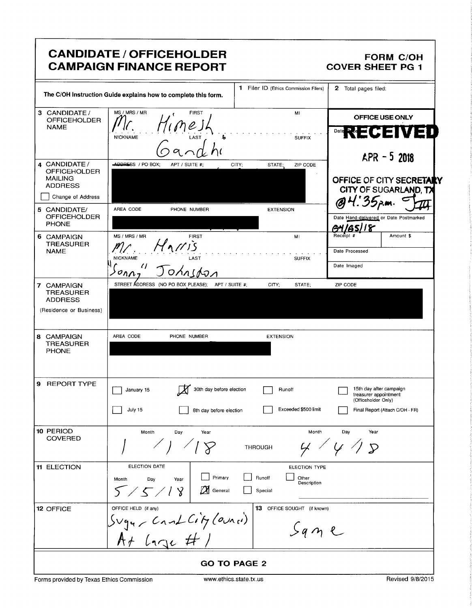# CANDIDATE / OFFICEHOLDER FORM C/OH<br>CAMPAIGN FINANCE REPORT COVER SHEET PG 1 **CAMPAIGN FINANCE REPORT**

|                                                               | <b>CANDIDATE / OFFICEHOLDER</b><br><b>CAMPAIGN FINANCE REPORT</b>                                                                                                                                                                                                                                                                                                                                                           | FORM C/OH<br>1 COVER SHEET PG                                                                                              |  |  |  |
|---------------------------------------------------------------|-----------------------------------------------------------------------------------------------------------------------------------------------------------------------------------------------------------------------------------------------------------------------------------------------------------------------------------------------------------------------------------------------------------------------------|----------------------------------------------------------------------------------------------------------------------------|--|--|--|
|                                                               | The C/OH Instruction Guide explains how to complete this form.                                                                                                                                                                                                                                                                                                                                                              | 1 Filer ID (Ethics Commission Filers) 2 Total pages filed:                                                                 |  |  |  |
|                                                               | 3 CANDIDATE / MS/MRS/MR<br>OFFICEHOLDER $\left[\begin{matrix} \frac{MS}{MBS/MRB} \\ \frac{M}{2} \\ \frac{N}{2} \\ \frac{M}{2} \\ \frac{M}{2} \\ \frac{M}{2} \\ \frac{M}{2} \\ \frac{M}{2} \\ \frac{M}{2} \\ \frac{M}{2} \\ \frac{M}{2} \\ \frac{M}{2} \\ \frac{M}{2} \\ \frac{M}{2} \\ \frac{M}{2} \\ \frac{M}{2} \\ \frac{M}{2} \\ \frac{M}{2} \\ \frac{M}{2} \\ \frac{M}{2} \\ \frac{M}{2} \\ \frac{M}{2$<br><b>FIRST</b> | <b>OFFICE USE ONLY</b>                                                                                                     |  |  |  |
|                                                               | $H_{1}$ me JL<br><b>NICKNAME</b><br>Gandhi                                                                                                                                                                                                                                                                                                                                                                                  | Date RECEIVED                                                                                                              |  |  |  |
| 4 CANDIDATE /<br>OFFICEHOLDER<br>MAILING<br>ADDRESS           | <b>ADDRESS</b> / PO BOX; APT / SUITE #; CITY; STATE; ZIP CODE                                                                                                                                                                                                                                                                                                                                                               | $APR - 52018$                                                                                                              |  |  |  |
| Change of Address                                             |                                                                                                                                                                                                                                                                                                                                                                                                                             | OFFICE OF CITY SECRETARY<br>CITY OF SUGARLAND, TX<br>@ 4. 35 p.m.                                                          |  |  |  |
| 5 CANDIDATE/<br>OFFICEHOLDER<br>PHONE                         | AREA CODE PHONE NUMBER                                                                                                                                                                                                                                                                                                                                                                                                      | <b>EXTENSION</b><br>Date Hand-delivered or Date Postmarked<br>$\frac{94}{\frac{94}{\text{Recoint}} \frac{1}{x}}$ Amount \$ |  |  |  |
| 6 CAMPAIGN<br>TREASURER<br>NAME                               | $\begin{bmatrix} \mathsf{MS}/\mathsf{MRS}/\mathsf{MR} \\ \mathsf{M}/\mathsf{MSE} \end{bmatrix}$<br>$M_{11}/T_{15}$<br><b>NICKNAME</b><br><b>LAST</b>                                                                                                                                                                                                                                                                        | <b>MI</b><br>Date Processed                                                                                                |  |  |  |
|                                                               | <u>Johnsdon</u><br>$\frac{\partial \rho_{\Lambda}}{\partial \rho_{\Lambda}}$<br>STREET ADDRESS (NO PO BOX PLEASE); APT / SUITE #; CITY; STATE; ZIP CODE                                                                                                                                                                                                                                                                     | Date Imaged                                                                                                                |  |  |  |
| 7 CAMPAIGN<br>TREASURER<br>ADDRESS<br>(Residence or Business) |                                                                                                                                                                                                                                                                                                                                                                                                                             |                                                                                                                            |  |  |  |
| 8 CAMPAIGN<br>TREASURER<br>PHONE                              | AREA CODE PHONE NUMBER                                                                                                                                                                                                                                                                                                                                                                                                      | <b>EXTENSION</b>                                                                                                           |  |  |  |
|                                                               |                                                                                                                                                                                                                                                                                                                                                                                                                             |                                                                                                                            |  |  |  |
| 9 REPORT TYPE                                                 | 30th day before election Runoff<br>$\Box$ January 15                                                                                                                                                                                                                                                                                                                                                                        | 15th day after campaign<br>treasurer appointment<br>(Officeholder Only)                                                    |  |  |  |
| 10 PERIOD<br>COVERED                                          | $\Box$ July 15<br>Month Day Year                                                                                                                                                                                                                                                                                                                                                                                            | 8th day before election Exceeded \$500 limit Final Report (Attach C/OH - FR)<br>Month Day Year                             |  |  |  |
|                                                               | $\angle$ 1 $\heartsuit$                                                                                                                                                                                                                                                                                                                                                                                                     | 4/4/5<br><b>THROUGH</b>                                                                                                    |  |  |  |
| 11 ELECTION                                                   | <b>ELECTION DATE</b><br>Month Day Year<br>Special Special                                                                                                                                                                                                                                                                                                                                                                   | ELECTION TYPE<br>Primary <b>Department Primary</b> Runoff<br>Description                                                   |  |  |  |
| 12 OFFICE                                                     | 5/5/18<br>OFFICE HELD (it any)<br>Sugu / Cant City (OUR (i)                                                                                                                                                                                                                                                                                                                                                                 | 13 OFFICE SOUGHT (if known)                                                                                                |  |  |  |
|                                                               | $A + L_1$                                                                                                                                                                                                                                                                                                                                                                                                                   | $Sqn$ e                                                                                                                    |  |  |  |
|                                                               | <b>GO TO PAGE 2</b>                                                                                                                                                                                                                                                                                                                                                                                                         |                                                                                                                            |  |  |  |

Forms provided by Texas Ethics Commission www.ethics.state.tx.us Revised 9/8/2015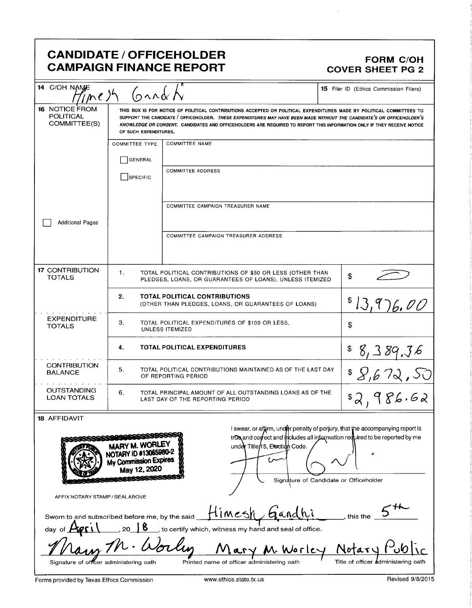# CANDIDATE / OFFICEHOLDER<br>CAMPAIGN FINANCE REPORT CAMPAIGN FORM COVER SHEET PG 2 **CAMPAIGN FINANCE REPORT**

| 14 C/OH NAME                                                                                                                                    | 15 Filer ID (Ethics Commission Filers)<br>(<br>$\eta$ ne sh                                                                                                                                                                                                                                                                                                                                      |                                                                                                                       |                            |  |  |
|-------------------------------------------------------------------------------------------------------------------------------------------------|--------------------------------------------------------------------------------------------------------------------------------------------------------------------------------------------------------------------------------------------------------------------------------------------------------------------------------------------------------------------------------------------------|-----------------------------------------------------------------------------------------------------------------------|----------------------------|--|--|
| <b>16 NOTICE FROM</b><br><b>POLITICAL</b><br>COMMITTEE(S)                                                                                       | THIS BOX IS FOR NOTICE OF POLITICAL CONTRIBUTIONS ACCEPTED OR POLITICAL EXPENDITURES MADE BY POLITICAL COMMITTEES TO<br>SUPPORT THE CANDIDATE / OFFICEHOLDER. THESE EXPENDITURES MAY HAVE BEEN MADE WITHOUT THE CANDIDATE'S OR OFFICEHOLDER'S<br>KNOWLEDGE OR CONSENT. CANDIDATES AND OFFICEHOLDERS ARE REQUIRED TO REPORT THIS INFORMATION ONLY IF THEY RECEIVE NOTICE<br>OF SUCH EXPENDITURES. |                                                                                                                       |                            |  |  |
|                                                                                                                                                 | <b>COMMITTEE TYPE</b>                                                                                                                                                                                                                                                                                                                                                                            | <b>COMMITTEE NAME</b>                                                                                                 |                            |  |  |
|                                                                                                                                                 | <b>GENERAL</b>                                                                                                                                                                                                                                                                                                                                                                                   |                                                                                                                       |                            |  |  |
|                                                                                                                                                 | SPECIFIC                                                                                                                                                                                                                                                                                                                                                                                         | <b>COMMITTEE ADDRESS</b>                                                                                              |                            |  |  |
| <b>Additional Pages</b>                                                                                                                         | COMMITTEE CAMPAIGN TREASURER NAME                                                                                                                                                                                                                                                                                                                                                                |                                                                                                                       |                            |  |  |
|                                                                                                                                                 |                                                                                                                                                                                                                                                                                                                                                                                                  | COMMITTEE CAMPAIGN TREASURER ADDRESS                                                                                  |                            |  |  |
| <b>17 CONTRIBUTION</b><br><b>TOTALS</b>                                                                                                         | 1.                                                                                                                                                                                                                                                                                                                                                                                               | TOTAL POLITICAL CONTRIBUTIONS OF \$50 OR LESS (OTHER THAN<br>PLEDGES, LOANS, OR GUARANTEES OF LOANS), UNLESS ITEMIZED | \$                         |  |  |
|                                                                                                                                                 | 2.                                                                                                                                                                                                                                                                                                                                                                                               | <b>TOTAL POLITICAL CONTRIBUTIONS</b><br>(OTHER THAN PLEDGES, LOANS, OR GUARANTEES OF LOANS)                           | \$13,976,00                |  |  |
| <b>EXPENDITURE</b><br><b>TOTALS</b>                                                                                                             | 3.<br>TOTAL POLITICAL EXPENDITURES OF \$100 OR LESS.<br><b>UNLESS ITEMIZED</b>                                                                                                                                                                                                                                                                                                                   |                                                                                                                       | \$                         |  |  |
|                                                                                                                                                 | 4.                                                                                                                                                                                                                                                                                                                                                                                               | <b>TOTAL POLITICAL EXPENDITURES</b>                                                                                   | 8,389.36                   |  |  |
| <b>CONTRIBUTION</b><br><b>BALANCE</b>                                                                                                           | 5.<br>TOTAL POLITICAL CONTRIBUTIONS MAINTAINED AS OF THE LAST DAY<br>OF REPORTING PERIOD                                                                                                                                                                                                                                                                                                         |                                                                                                                       |                            |  |  |
| <b>OUTSTANDING</b><br>6.<br>TOTAL PRINCIPAL AMOUNT OF ALL OUTSTANDING LOANS AS OF THE<br><b>LOAN TOTALS</b><br>LAST DAY OF THE REPORTING PERIOD |                                                                                                                                                                                                                                                                                                                                                                                                  |                                                                                                                       | $$8,672,52$<br>$$2,986.62$ |  |  |
| 18 AFFIDAVIT                                                                                                                                    |                                                                                                                                                                                                                                                                                                                                                                                                  |                                                                                                                       |                            |  |  |

| MARY M. WORLEY<br>NOTARY ID #13065980-2<br>My Commission Expires<br>May 12, 2020 | I swear, or affirm, under penalty of perjury, that the accompanying report is<br>trou and correct and includes all information required to be reported by me<br>under Title/15, Etection Code.<br>Signature of Candidate or Officeholder |
|----------------------------------------------------------------------------------|------------------------------------------------------------------------------------------------------------------------------------------------------------------------------------------------------------------------------------------|
| AFFIX NOTARY STAMP / SEALABOVE<br>Sworn to and subscribed before me, by the said | timesh<br>aand<br>this the                                                                                                                                                                                                               |
| day of                                                                           | to certify which, witness my hand and seal of office.                                                                                                                                                                                    |
| Signature of officer administering oath                                          | Mary M. Worley Notar<br>Title of officer administering oath<br>Printed name of officer administering oath                                                                                                                                |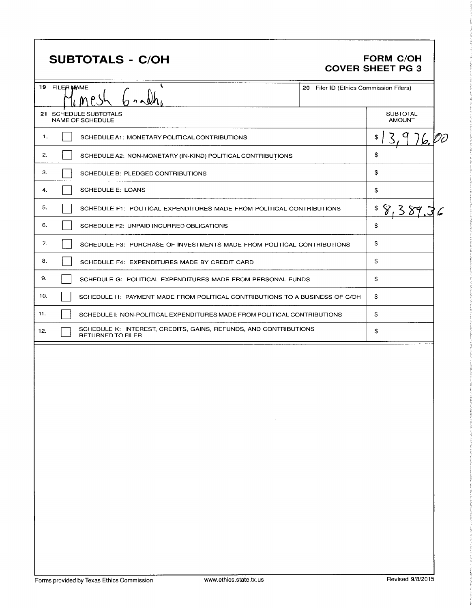# SUBTOTALS - C/OH FORM C/OH

# COVER SHEET PG 3

|     | 19 FILER MAME<br>$\sim$ 0.1                                                                  | 20 Filer ID (Ethics Commission Filers) |                                  |
|-----|----------------------------------------------------------------------------------------------|----------------------------------------|----------------------------------|
|     | 21 SCHEDULE SUBTOTALS<br>NAME OF SCHEDULE                                                    |                                        | <b>SUBTOTAL</b><br><b>AMOUNT</b> |
| 1.  | SCHEDULE A1: MONETARY POLITICAL CONTRIBUTIONS                                                |                                        | \$<br><u>- 1 /b.</u> Vi          |
| 2.  | SCHEDULE A2: NON-MONETARY (IN-KIND) POLITICAL CONTRIBUTIONS                                  |                                        | \$                               |
| З.  | SCHEDULE B: PLEDGED CONTRIBUTIONS                                                            |                                        | \$                               |
| 4.  | <b>SCHEDULE E: LOANS</b>                                                                     |                                        | \$                               |
| 5.  | SCHEDULE F1: POLITICAL EXPENDITURES MADE FROM POLITICAL CONTRIBUTIONS                        |                                        | \$                               |
| 6.  | SCHEDULE F2: UNPAID INCURRED OBLIGATIONS                                                     |                                        | \$                               |
| 7.  | SCHEDULE F3: PURCHASE OF INVESTMENTS MADE FROM POLITICAL CONTRIBUTIONS                       |                                        | \$                               |
| 8.  | SCHEDULE F4: EXPENDITURES MADE BY CREDIT CARD                                                |                                        | \$                               |
| 9.  | SCHEDULE G: POLITICAL EXPENDITURES MADE FROM PERSONAL FUNDS                                  |                                        | \$                               |
| 10. | SCHEDULE H: PAYMENT MADE FROM POLITICAL CONTRIBUTIONS TO A BUSINESS OF C/OH                  |                                        | \$                               |
| 11. | SCHEDULE I: NON-POLITICAL EXPENDITURES MADE FROM POLITICAL CONTRIBUTIONS                     |                                        | \$                               |
| 12. | SCHEDULE K: INTEREST, CREDITS, GAINS, REFUNDS, AND CONTRIBUTIONS<br><b>RETURNED TO FILER</b> |                                        | \$                               |
|     |                                                                                              |                                        |                                  |
|     |                                                                                              |                                        |                                  |
|     |                                                                                              |                                        |                                  |
|     |                                                                                              |                                        |                                  |
|     |                                                                                              |                                        |                                  |
|     |                                                                                              |                                        |                                  |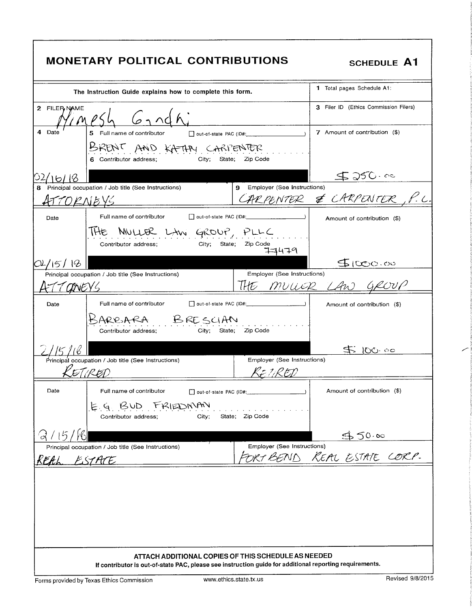|               | <b>MONETARY POLITICAL CONTRIBUTIONS</b>                                                                 |                                                           | <b>SCHEDULE A1</b>                    |
|---------------|---------------------------------------------------------------------------------------------------------|-----------------------------------------------------------|---------------------------------------|
|               | The Instruction Guide explains how to complete this form.                                               |                                                           | 1 Total pages Schedule A1:            |
| 2 FILER, NAME | MPSL<br>$6$ nd h                                                                                        |                                                           | 3 Filer ID (Ethics Commission Filers) |
| 4<br>Date     | 5 Full name of contributor<br>out-of-state PAC (ID#:                                                    |                                                           | 7 Amount of contribution (\$)         |
|               | BRENT AND KATAN CARPENTER<br>City:<br>State;<br>6 Contributor address;                                  | Zip Code                                                  |                                       |
|               |                                                                                                         |                                                           | $5250 - 00$                           |
| 8             | Principal occupation / Job title (See Instructions)<br>ORNEYS                                           | Employer (See Instructions)<br>9                          | CARPENTER & CARPENTER                 |
| Date          | Full name of contributor<br>out-of-state PAC (ID#:                                                      |                                                           | Amount of contribution (\$)           |
|               | MULLER LAW GROUP, PLLC<br>IHE<br>Contributor address;<br>City;<br>State;                                | Zip Code<br>77479                                         |                                       |
| 5             |                                                                                                         |                                                           | 500000                                |
| <i>CINEY'</i> | Principal occupation / Job title (See Instructions)                                                     | Employer (See Instructions)<br>lHE<br>muure               |                                       |
| Date          | Full name of contributor<br>out-of-state PAC (ID#:                                                      |                                                           | Amount of contribution (\$)           |
|               | ARRARA BRESCIAN<br>Contributor address;<br>City:<br>State:                                              | Zip Code                                                  |                                       |
| 15116         |                                                                                                         |                                                           | 30/5                                  |
|               | Principal occupation / Job title (See Instructions)<br>DI (RED                                          | Employer (See Instructions)<br>くまり・RやD                    |                                       |
| Date          | Full name of contributor                                                                                |                                                           | Amount of contribution (\$)           |
|               | E.G. BUD FRIEDNAN<br>City;<br>Contributor address;                                                      | State; Zip Code                                           |                                       |
|               |                                                                                                         |                                                           | 550.00                                |
| KEAL ESTATE   | Principal occupation / Job title (See Instructions)                                                     | Employer (See Instructions)<br>ORT BEND KEAL ESTATE CORP- |                                       |
|               | ATTACH ADDITIONAL COPIES OF THIS SCHEDULE AS NEEDED                                                     |                                                           |                                       |
|               | If contributor is out-of-state PAC, please see instruction guide for additional reporting requirements. |                                                           |                                       |

i<br>i

 $\overline{\phantom{0}}$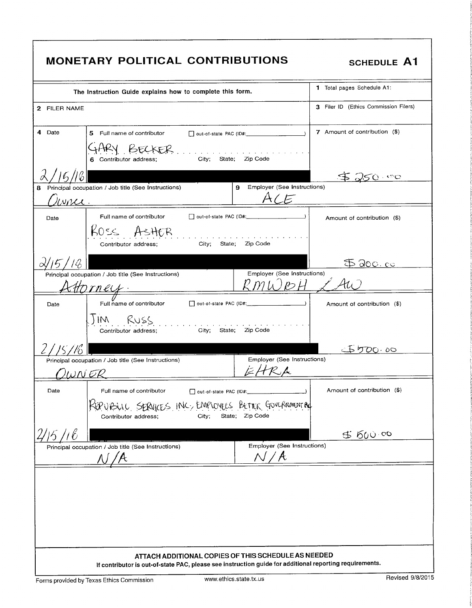| <b>MONETARY POLITICAL CONTRIBUTIONS</b>                                                                                                                                          | <b>SCHEDULE A1</b>                    |
|----------------------------------------------------------------------------------------------------------------------------------------------------------------------------------|---------------------------------------|
| The Instruction Guide explains how to complete this form.                                                                                                                        | 1 Total pages Schedule A1:            |
| 2 FILER NAME                                                                                                                                                                     | 3 Filer ID (Ethics Commission Filers) |
| 4 Date<br>5 Full name of contributor                                                                                                                                             | 7 Amount of contribution (\$)         |
| City; State; Zip Code<br>6 Contributor address;                                                                                                                                  |                                       |
| 15/16                                                                                                                                                                            | \$250.00                              |
| Principal occupation / Job title (See Instructions)<br>Employer (See Instructions)<br>9.<br>8<br>A/E<br>vna.                                                                     |                                       |
| Full name of contributor<br>Date                                                                                                                                                 | Amount of contribution (\$)           |
| $Koss$ AsHER<br>and the state of the state of the state of the state of the state of the state of the state of the state of the<br>City; State; Zip Code<br>Contributor address; |                                       |
|                                                                                                                                                                                  | \$ 200.00                             |
| Employer (See Instructions)<br>Principal occupation / Job title (See Instructions)<br>Horney.                                                                                    |                                       |
| Full name of contributor<br>Date                                                                                                                                                 | Amount of contribution (\$)           |
| JIM RUSS<br>City;<br>State; Zip Code<br>Contributor address;                                                                                                                     |                                       |
|                                                                                                                                                                                  | <u> ホケの0,00</u>                       |
| Employer (See Instructions)<br>Principal occupation / Job title (See Instructions)<br>ΙωΝ ΕΡ                                                                                     |                                       |
| Date<br>Full name of contributor<br>out-of-state PAC (ID#:                                                                                                                       | Amount of contribution (\$)           |
| KEP UPSULL SERVICES INC, EMPLOYEES BETTER GOVERNMENT A<br>State; Zip Code<br>City;<br>Contributor address;                                                                       |                                       |
|                                                                                                                                                                                  | 45,600.00                             |
| Employer (See Instructions)<br>Principal occupation / Job title (See Instructions)<br>$\Lambda f / A$                                                                            |                                       |
|                                                                                                                                                                                  |                                       |
|                                                                                                                                                                                  |                                       |
|                                                                                                                                                                                  |                                       |
|                                                                                                                                                                                  |                                       |
| ATTACH ADDITIONAL COPIES OF THIS SCHEDULE AS NEEDED<br>If contributor is out-of-state PAC, please see instruction guide for additional reporting requirements.                   |                                       |
| www.ethics.state.tx.us<br>Forms provided by Texas Ethics Commission                                                                                                              | Revised 9/8/2015                      |

f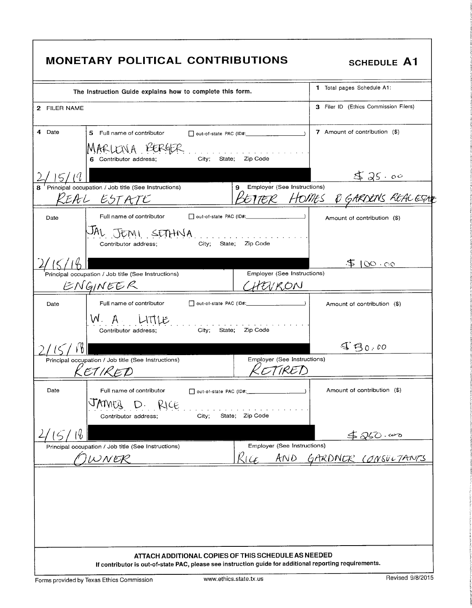|                                                                                                    | <b>MONETARY POLITICAL CONTRIBUTIONS</b>                                                                                                                        |                                           | <b>SCHEDULE A1</b>                    |
|----------------------------------------------------------------------------------------------------|----------------------------------------------------------------------------------------------------------------------------------------------------------------|-------------------------------------------|---------------------------------------|
|                                                                                                    | The Instruction Guide explains how to complete this form.                                                                                                      | 1 Total pages Schedule A1:                |                                       |
| 2 FILER NAME                                                                                       |                                                                                                                                                                |                                           | 3 Filer ID (Ethics Commission Filers) |
| 4 Date                                                                                             | 5 Full name of contributor                                                                                                                                     | $\Box$ out-of-state PAC (ID#: _________   | 7 Amount of contribution (\$)         |
|                                                                                                    | MARLENA BERGER<br>6 Contributor address;                                                                                                                       | City; State; Zip Code                     |                                       |
| 15/11                                                                                              |                                                                                                                                                                |                                           | 525.00                                |
|                                                                                                    | Principal occupation / Job title (See Instructions)<br>REAL ESTATE                                                                                             | Employer (See Instructions)<br>9          | BETTER HOMES & GARDENS REACESTE       |
| Date                                                                                               | Full name of contributor                                                                                                                                       | $\Box$ out-of-state PAC (ID#: $\Box$ )    | Amount of contribution (\$)           |
|                                                                                                    | JAL JEMI SETHNA<br>Contributor address;                                                                                                                        | .<br>City; State; Zip Code                |                                       |
|                                                                                                    |                                                                                                                                                                |                                           | 5100.00                               |
|                                                                                                    | Principal occupation / Job title (See Instructions)                                                                                                            | Employer (See Instructions)               |                                       |
|                                                                                                    | ENGINEER                                                                                                                                                       | HEVRON                                    |                                       |
| Date                                                                                               | Full name of contributor<br>W. A. LITTLE<br>City;<br>Contributor address;                                                                                      | out-of-state PAC (ID#:<br>State; Zip Code | Amount of contribution (\$)           |
|                                                                                                    |                                                                                                                                                                |                                           | $GQ_{0,00}$                           |
|                                                                                                    | Principal occupation / Job title (See Instructions)<br>K ET IK E D                                                                                             | Employer (See Instructions)               |                                       |
| Date                                                                                               | Full name of contributor<br>JAMEZ D. RICE<br>City;<br>Contributor address;                                                                                     | State; Zip Code                           | Amount of contribution (\$)           |
| 16<br>$\zeta$                                                                                      |                                                                                                                                                                |                                           |                                       |
| Employer (See Instructions)<br>Principal occupation / Job title (See Instructions)<br>Ric<br>JWNER |                                                                                                                                                                |                                           | 480.00<br>AND GARDNER CONSULTANTS     |
|                                                                                                    | ATTACH ADDITIONAL COPIES OF THIS SCHEDULE AS NEEDED<br>If contributor is out-of-state PAC, please see instruction guide for additional reporting requirements. |                                           |                                       |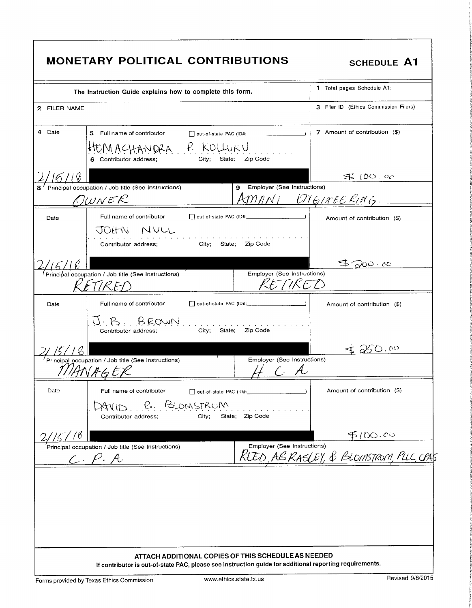| The Instruction Guide explains how to complete this form.                                                                                                      |                                                      | 1 Total pages Schedule A1:                                             |
|----------------------------------------------------------------------------------------------------------------------------------------------------------------|------------------------------------------------------|------------------------------------------------------------------------|
| 2 FILER NAME                                                                                                                                                   |                                                      | 3 Filer ID (Ethics Commission Filers)                                  |
| 4 Date<br>5 Full name of contributor<br>MACHANDRA P KOLLURU<br>6 Contributor address;<br>City;                                                                 | Zip Code<br>State;                                   | 7 Amount of contribution (\$)                                          |
|                                                                                                                                                                |                                                      | $500$ co                                                               |
| Principal occupation / Job title (See Instructions)<br><u> OwweR</u>                                                                                           | 9 Employer (See Instructions)<br>AMANI ENGINEE KING. |                                                                        |
| Full name of contributor<br>Date<br>JOHN NULL<br>Contributor address:<br>City; State;                                                                          | Zip Code                                             | Amount of contribution (\$)                                            |
|                                                                                                                                                                |                                                      | $\partial 0$ $\circ$ $\circ$                                           |
| Principal occupation / Job title (See Instructions)                                                                                                            | Employer (See Instructions)<br>TKET                  |                                                                        |
| Full name of contributor<br>Date<br>J.B. BROWN                                                                                                                 | out-of-state PAC (ID#:                               | Amount of contribution (\$)                                            |
| Contributor address;                                                                                                                                           | City; State; Zip Code                                | 50.00                                                                  |
| Principal occupation / Job title (See Instructions)                                                                                                            | Employer (See Instructions)                          |                                                                        |
| Date<br>Full name of contributor<br>DAVID B. BLOMSTROM<br>Contributor address;<br>City;                                                                        | Dout-of-state PAC (ID#:<br>State; Zip Code           | Amount of contribution (\$)                                            |
|                                                                                                                                                                |                                                      |                                                                        |
| Principal occupation / Job title (See Instructions)<br>$C.\rho.A$                                                                                              |                                                      | Employer (See Instructions)<br>REED, ABRASLEY, & BLOMSTROM, PLLC, CPAS |
|                                                                                                                                                                |                                                      |                                                                        |
| ATTACH ADDITIONAL COPIES OF THIS SCHEDULE AS NEEDED<br>If contributor is out-of-state PAC, please see instruction guide for additional reporting requirements. |                                                      |                                                                        |
|                                                                                                                                                                | www.ethics.state.tx.us                               | Revised 9/8/2015                                                       |

theories

R

s T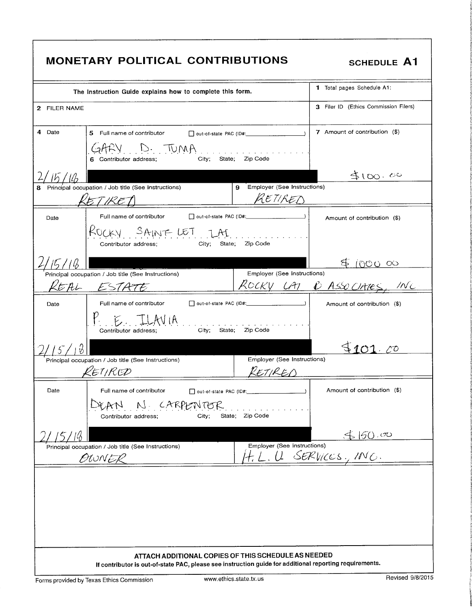| MONETARY POLITICAL CONTRIBUTIONS<br>SCHEDULE A1                                                                                                                                                                                                                                                                                                                                                                                                                                                                               |  |  |  |
|-------------------------------------------------------------------------------------------------------------------------------------------------------------------------------------------------------------------------------------------------------------------------------------------------------------------------------------------------------------------------------------------------------------------------------------------------------------------------------------------------------------------------------|--|--|--|
| 1 Total pages Schedule A1:<br>The Instruction Guide explains how to complete this form.                                                                                                                                                                                                                                                                                                                                                                                                                                       |  |  |  |
| 3 Filer ID (Ethics Commission Filers)<br>2 FILER NAME<br>7 Amount of contribution (\$)<br>4 Date<br>5 Full name of contributor   Out-of-state PAC (ID#:                                                                                                                                                                                                                                                                                                                                                                       |  |  |  |
| GARY D. TUMA.<br>$City$ ; State; Zip Code<br>6 Contributor address;                                                                                                                                                                                                                                                                                                                                                                                                                                                           |  |  |  |
| 4100.00<br>9 Employer (See Instructions)<br>Principal occupation / Job title (See Instructions)<br>RETIRED<br>KETKED                                                                                                                                                                                                                                                                                                                                                                                                          |  |  |  |
| Full name of contributor<br>out-of-state PAC (ID#:<br>Date<br>Amount of contribution (\$)<br>RUCKY SAINT LET TAT<br>contributor address; city; state; zip Code                                                                                                                                                                                                                                                                                                                                                                |  |  |  |
| 560000<br>Employer (See Instructions)<br>Principal occupation / Job title (See Instructions)                                                                                                                                                                                                                                                                                                                                                                                                                                  |  |  |  |
| ROCKY LAT & ASSO UNTES, INC.<br>REAL ESTATE<br>out-of-state PAC (ID#:<br>Date<br>Full name of contributor<br>Amount of contribution (\$)<br>$P_{\text{contribution address}}$ $\frac{1}{\text{M}}$ $\frac{1}{\text{M}}$ $\frac{1}{\text{M}}$ $\frac{1}{\text{M}}$ $\frac{1}{\text{M}}$ $\frac{1}{\text{M}}$ $\frac{1}{\text{M}}$ $\frac{1}{\text{M}}$ $\frac{1}{\text{M}}$ $\frac{1}{\text{M}}$ $\frac{1}{\text{M}}$ $\frac{1}{\text{M}}$ $\frac{1}{\text{M}}$ $\frac{1}{\text{M}}$ $\frac{1}{\text{M}}$ $\frac{1}{\text{M}}$ |  |  |  |
| \$101.00<br>Employer (See Instructions)<br>Principal occupation / Job title (See Instructions)                                                                                                                                                                                                                                                                                                                                                                                                                                |  |  |  |
| RETIRED<br>RETIRCD<br><u> Tanah Manazarta di Bandar Bandar Bandar Bandar Bandar Bandar Bandar Bandar Bandar Bandar Bandar Bandar Bandar Bandar Bandar Bandar Bandar Bandar Bandar Bandar Bandar Bandar Bandar Bandar Bandar Bandar Bandar Bandar Banda</u><br>Date<br>Full name of contributor<br>$\Box$ out-of-state PAC (ID#:<br>Amount of contribution (\$)                                                                                                                                                                |  |  |  |
| DEAN N CARPENTER<br>City; State; Zip Code<br>Contributor address;<br>5150.00                                                                                                                                                                                                                                                                                                                                                                                                                                                  |  |  |  |
| Employer (See Instructions)<br>Principal occupation / Job title (See Instructions)<br>H.L.U SERVICES, ING.<br>OWNER                                                                                                                                                                                                                                                                                                                                                                                                           |  |  |  |
|                                                                                                                                                                                                                                                                                                                                                                                                                                                                                                                               |  |  |  |
|                                                                                                                                                                                                                                                                                                                                                                                                                                                                                                                               |  |  |  |
| ATTACH ADDITIONAL COPIES OF THIS SCHEDULE AS NEEDED<br>If contributor is out-of-state PAC, please see instruction guide for additional reporting requirements.<br>Revised 9/8/2015<br>www.ethics.state.tx.us<br>Forms provided by Texas Ethics Commission                                                                                                                                                                                                                                                                     |  |  |  |

**F** i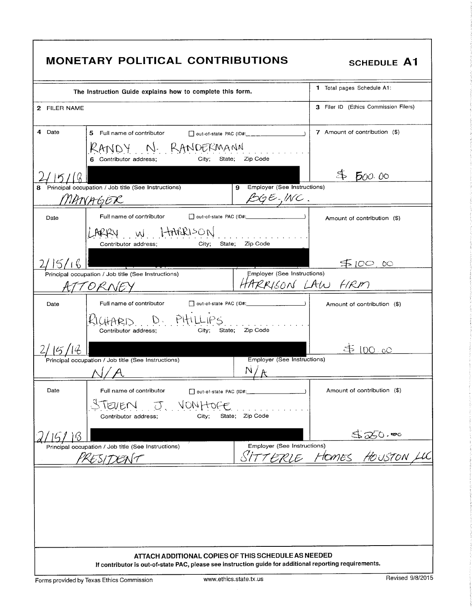|              | <b>MONETARY POLITICAL CONTRIBUTIONS</b>                                                                                                                        |                                                                   | <b>SCHEDULE A1</b>                                       |  |
|--------------|----------------------------------------------------------------------------------------------------------------------------------------------------------------|-------------------------------------------------------------------|----------------------------------------------------------|--|
|              | The Instruction Guide explains how to complete this form.                                                                                                      |                                                                   | 1 Total pages Schedule A1:                               |  |
| 2 FILER NAME |                                                                                                                                                                |                                                                   | 3 Filer ID (Ethics Commission Filers)                    |  |
| 4 Date       | 5 Full name of contributor                                                                                                                                     |                                                                   | 7 Amount of contribution (\$)                            |  |
|              | RANDY N RANDERMANN<br>6 Contributor address;                                                                                                                   | City; State; Zip Code                                             |                                                          |  |
|              |                                                                                                                                                                |                                                                   | 500.00                                                   |  |
| 8            | Principal occupation / Job title (See Instructions)<br>NANAGER                                                                                                 | Employer (See Instructions)<br>9<br>$\beta\zeta\in\mathcal{MC}$ . |                                                          |  |
| Date         | Full name of contributor                                                                                                                                       |                                                                   | Amount of contribution (\$)                              |  |
|              | ARRY W LIARRISON<br>State:<br>Contributor address;<br>City;                                                                                                    | .<br>Zip Code                                                     |                                                          |  |
|              |                                                                                                                                                                |                                                                   | 50000                                                    |  |
|              | Principal occupation / Job title (See Instructions)                                                                                                            | Employer (See Instructions)<br>HARRISON LAW FIRM                  |                                                          |  |
| Date         | Full name of contributor                                                                                                                                       |                                                                   | Amount of contribution (\$)                              |  |
|              | KICHARD D. PHILLIPS<br>State:<br>Contributor address;<br>City:                                                                                                 | Zip Code                                                          |                                                          |  |
|              |                                                                                                                                                                |                                                                   | .DO - oO                                                 |  |
|              | Principal occupation / Job title (See Instructions)                                                                                                            | Employer (See Instructions)                                       |                                                          |  |
| Date         | Full name of contributor                                                                                                                                       | Dout-of-state PAC (ID#: 2000)                                     | Amount of contribution (\$)                              |  |
|              | TEVEN J. VONHOFE<br>City;<br>Contributor address;                                                                                                              | State; Zip Code                                                   |                                                          |  |
| В            |                                                                                                                                                                |                                                                   |                                                          |  |
|              | Principal occupation / Job title (See Instructions)<br>PRESIDENT                                                                                               |                                                                   | Employer (See Instructions)<br>SITTERLE HOMES HOUSTON LL |  |
|              |                                                                                                                                                                |                                                                   |                                                          |  |
|              | ATTACH ADDITIONAL COPIES OF THIS SCHEDULE AS NEEDED<br>If contributor is out-of-state PAC, please see instruction guide for additional reporting requirements. |                                                                   |                                                          |  |
|              | Revised 9/8/2015<br>www.ethics.state.tx.us<br>Forms provided by Texas Ethics Commission                                                                        |                                                                   |                                                          |  |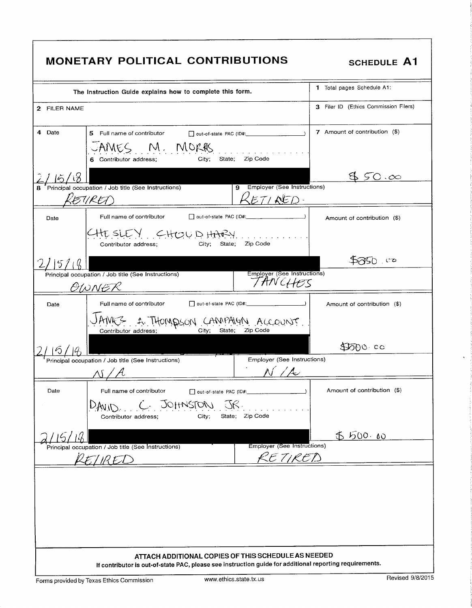| <b>MONETARY POLITICAL CONTRIBUTIONS</b>                                                                                                                                                                                                                                                                                                            | <b>SCHEDULE A1</b>                    |
|----------------------------------------------------------------------------------------------------------------------------------------------------------------------------------------------------------------------------------------------------------------------------------------------------------------------------------------------------|---------------------------------------|
| The Instruction Guide explains how to complete this form.                                                                                                                                                                                                                                                                                          | 1 Total pages Schedule A1:            |
| 2 FILER NAME                                                                                                                                                                                                                                                                                                                                       | 3 Filer ID (Ethics Commission Filers) |
| 4 Date<br>5 Full name of contributor<br>JAMES M. MORAS<br>City; State; Zip Code<br>6 Contributor address;                                                                                                                                                                                                                                          | 7 Amount of contribution (\$)         |
| 15/18<br>Principal occupation / Job title (See Instructions)<br>9 Employer (See Instructions)<br>8<br>EURET<br>ETI <b>NE</b> D-                                                                                                                                                                                                                    | . 50.00                               |
| Full name of contributor<br>Date<br>CHESLEY CHOUDHARY<br>$\mathbf{r}$ . The state of the state $\mathbf{r}$<br>Zip Code<br>City;<br>State;<br>Contributor address;                                                                                                                                                                                 | Amount of contribution (\$)           |
| 51<br>Employer (See Instructions)<br>Principal occupation / Job title (See Instructions)<br>TANCHES<br>OWNER                                                                                                                                                                                                                                       | 750. OZ                               |
| Full name of contributor<br>out-of-state PAC (ID#:<br>Date<br>AMES A THOMPSON CAMPAIGN ACCOUNT<br>City;<br>State; Zip Code<br>Contributor address;                                                                                                                                                                                                 | Amount of contribution (\$)           |
|                                                                                                                                                                                                                                                                                                                                                    | DOOO CO                               |
| $\frac{1}{2}$ $\frac{1}{2}$ $\frac{1}{2}$ $\frac{1}{2}$ $\frac{1}{2}$ $\frac{1}{2}$ $\frac{1}{2}$ $\frac{1}{2}$ $\frac{1}{2}$ $\frac{1}{2}$ $\frac{1}{2}$ $\frac{1}{2}$ $\frac{1}{2}$ $\frac{1}{2}$ $\frac{1}{2}$ $\frac{1}{2}$ $\frac{1}{2}$ $\frac{1}{2}$ $\frac{1}{2}$ $\frac{1}{2}$ $\frac{1}{2}$ $\frac{1}{2}$<br>Employer (See Instructions) |                                       |
| Date<br>Full name of contributor<br>out-of-state PAC (ID#: 2000)<br>C. JOHNSTON JR.<br>DAMID.<br>State; Zip Code<br>City:<br>Contributor address;                                                                                                                                                                                                  | Amount of contribution (\$)           |
|                                                                                                                                                                                                                                                                                                                                                    | 5 500.00                              |
| <b>Employer (See Instructions)</b><br>Principal occupation / Job title (See Instructions)<br>KE TIRED<br>LET IR ET S                                                                                                                                                                                                                               |                                       |
|                                                                                                                                                                                                                                                                                                                                                    |                                       |
| ATTACH ADDITIONAL COPIES OF THIS SCHEDULE AS NEEDED<br>If contributor is out-of-state PAC, please see instruction guide for additional reporting requirements.                                                                                                                                                                                     |                                       |

 $\bar{\star}$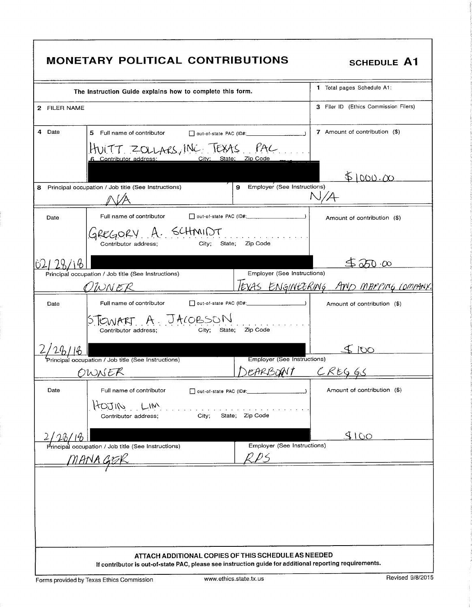|              | <b>MONETARY POLITICAL CONTRIBUTIONS</b>                                                                 |                                                         | <b>SCHEDULE A1</b>                                 |  |  |
|--------------|---------------------------------------------------------------------------------------------------------|---------------------------------------------------------|----------------------------------------------------|--|--|
|              | The Instruction Guide explains how to complete this form.                                               |                                                         | 1 Total pages Schedule A1.                         |  |  |
| 2 FILER NAME |                                                                                                         |                                                         | 3 Filer ID (Ethics Commission Filers)              |  |  |
| 4<br>Date    | 5 Full name of contributor<br>out-of-state PAC (ID#:                                                    |                                                         | 7 Amount of contribution (\$)                      |  |  |
|              | HUITT ZOLLARS, INC TEXAS PAC                                                                            |                                                         |                                                    |  |  |
| 8            | Principal occupation / Job title (See Instructions)                                                     | Employer (See Instructions)<br>9                        | 51000.00<br>N/A                                    |  |  |
| Date         | Full name of contributor                                                                                | D out-of-state PAC (ID#:                                | Amount of contribution (\$)                        |  |  |
|              | GREGORY A. SCHMIDT<br>City;<br>Contributor address;                                                     | State; Zip Code                                         |                                                    |  |  |
| رنا          |                                                                                                         |                                                         | $\mathfrak{D} \circ \mathcal{C} \circ \mathcal{C}$ |  |  |
|              | Principal occupation / Job title (See Instructions)<br>WN ER                                            | Employer (See Instructions)<br><u>IEXAS ENGINLERING</u> | AND MAPPING COMPANY                                |  |  |
| Date         | Full name of contributor                                                                                |                                                         | Amount of contribution (\$)                        |  |  |
|              | STEWART A JACOBSON<br>Contributor address:<br>City;                                                     | Zip Code<br>State;                                      |                                                    |  |  |
|              |                                                                                                         |                                                         | SO(1)                                              |  |  |
|              | .<br>Principal occupation / Job title (See Instructions)<br>OWNER                                       | Employer (See Instructions)<br>EARBONT CREGGS           |                                                    |  |  |
| Date         | Full name of contributor                                                                                |                                                         | Amount of contribution (\$)                        |  |  |
|              | KOJIN<br>LM<br>City;<br>Contributor address;                                                            | State; Zip Code                                         |                                                    |  |  |
|              |                                                                                                         |                                                         | 5100                                               |  |  |
|              | Principal occupation / Job title (See Instructions)<br>MANA GER                                         | Employer (See Instructions)                             |                                                    |  |  |
|              |                                                                                                         |                                                         |                                                    |  |  |
|              | If contributor is out-of-state PAC, please see instruction guide for additional reporting requirements. | ATTACH ADDITIONAL COPIES OF THIS SCHEDULE AS NEEDED     |                                                    |  |  |
|              | Revised 9/8/2015<br>www.ethics.state.tx.us<br>Forms provided by Texas Ethics Commission                 |                                                         |                                                    |  |  |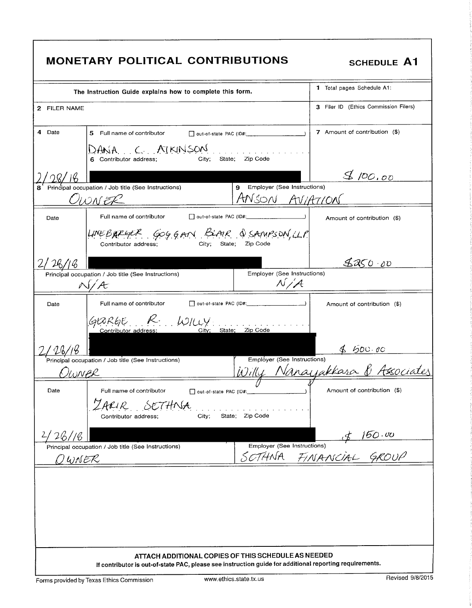|               | <b>MONETARY POLITICAL CONTRIBUTIONS</b>                                                                                                                        |                                                    | <b>SCHEDULE A1</b>                                            |
|---------------|----------------------------------------------------------------------------------------------------------------------------------------------------------------|----------------------------------------------------|---------------------------------------------------------------|
|               | The Instruction Guide explains how to complete this form.                                                                                                      |                                                    | 1 Total pages Schedule A1:                                    |
| 2 FILER NAME  |                                                                                                                                                                |                                                    | 3 Filer ID (Ethics Commission Filers)                         |
| 4<br>Date     | 5 Full name of contributor                                                                                                                                     |                                                    | 7 Amount of contribution (\$)                                 |
|               | DANA C AIKINSON<br>City;<br>6 Contributor address;                                                                                                             | State; Zip Code                                    |                                                               |
| 128/16        |                                                                                                                                                                |                                                    | 8100.00                                                       |
|               | Principal occupation / Job title (See Instructions)<br>OWN ER                                                                                                  | Employer (See Instructions)<br>9<br>ANSON AVIATION |                                                               |
| Date          | Full name of contributor                                                                                                                                       |                                                    | Amount of contribution (\$)                                   |
|               | LINEBARGER GOGGAN BLAIR & SANPSON, LLP<br>Contributor address;<br>Citv:                                                                                        | State: Zip Code                                    |                                                               |
|               |                                                                                                                                                                |                                                    | 8850.00                                                       |
|               | Principal occupation / Job title (See Instructions)<br>J/A                                                                                                     | Employer (See Instructions)<br>N/A                 |                                                               |
| Date          | Full name of contributor                                                                                                                                       | out-of-state PAC (ID#:                             | Amount of contribution (\$)                                   |
|               | GRAFGE R. WILLY.<br>State;<br>Contributor address:                                                                                                             | Zip Code                                           |                                                               |
|               |                                                                                                                                                                |                                                    |                                                               |
| <u>Oioner</u> | Principal occupation / Job title (See Instructions)                                                                                                            |                                                    | Employer (See Instructions)<br>Willy Nanayakkasa & Associates |
| Date          | Full name of contributor                                                                                                                                       |                                                    | Amount of contribution (\$)                                   |
|               | ZARIR SETHNA<br>City;<br>Contributor address;                                                                                                                  | State; Zip Code                                    |                                                               |
| 26/16         |                                                                                                                                                                |                                                    |                                                               |
| Q WNER        | Principal occupation / Job title (See Instructions)                                                                                                            | Employer (See Instructions)<br>SOTHNA              | $\frac{4}{60}$ .00<br>Elnstructions)<br>FINANCIAL GROUP       |
|               |                                                                                                                                                                |                                                    |                                                               |
|               | ATTACH ADDITIONAL COPIES OF THIS SCHEDULE AS NEEDED<br>If contributor is out-of-state PAC, please see instruction guide for additional reporting requirements. |                                                    |                                                               |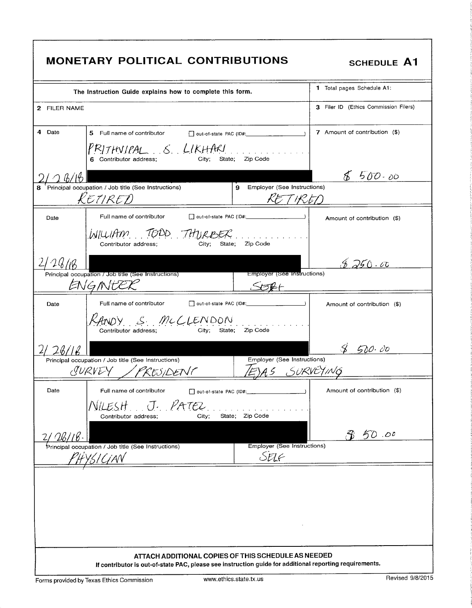| <b>MONETARY POLITICAL CONTRIBUTIONS</b>                                                                                                                        | <b>SCHEDULE A1</b>                        |
|----------------------------------------------------------------------------------------------------------------------------------------------------------------|-------------------------------------------|
| The Instruction Guide explains how to complete this form.                                                                                                      | 1 Total pages Schedule A1:                |
| 2 FILER NAME                                                                                                                                                   | 3 Filer ID (Ethics Commission Filers)     |
| 4 Date<br>5 Full name of contributor                                                                                                                           | 7 Amount of contribution (\$)             |
| $PRITHNIPAL_S LIKHAKL$<br>City;<br>State; Zip Code<br>6 Contributor address;                                                                                   |                                           |
| 26/16                                                                                                                                                          | $8500 - 00$                               |
| Principal occupation / Job title (See Instructions)<br>KETIRED                                                                                                 | 9 Employer (See Instructions)<br>KET IRED |
| Full name of contributor<br>Date                                                                                                                               | Amount of contribution (\$)               |
| WILLIAM TODD THURBER<br>Zip Code<br>State:<br>Contributor address;<br>City;                                                                                    |                                           |
| 126/18                                                                                                                                                         | A750.00                                   |
| Principal occupation / Job title (See Instructions)<br>ENGNEEK                                                                                                 | Employer (See Instructions)               |
| Dout-of-state PAC (ID#: 2000)<br>Full name of contributor<br>Date                                                                                              | Amount of contribution (\$)               |
| SANDY S MCCLENDON<br>Zip Code<br>Contributor address;<br>State:<br>City:                                                                                       |                                           |
|                                                                                                                                                                | 8500.00                                   |
| Principal occupation / Job title (See Instructions)                                                                                                            | Employer (See Instructions)               |
| SURVEY / PRESIDENT                                                                                                                                             | EJAS SURVEYING                            |
| Date<br>Full name of contributor<br>out-of-state PAC (ID#:                                                                                                     | Amount of contribution (\$)               |
| NILESH J. PATEL.<br>State: Zip Code<br>City;<br>Contributor address;                                                                                           |                                           |
|                                                                                                                                                                | 50.00                                     |
| Principal occupation / Job title (See Instructions)                                                                                                            | Employer (See Instructions)<br>SELF       |
| PHYSICIAN                                                                                                                                                      |                                           |
|                                                                                                                                                                |                                           |
|                                                                                                                                                                |                                           |
|                                                                                                                                                                |                                           |
|                                                                                                                                                                |                                           |
| ATTACH ADDITIONAL COPIES OF THIS SCHEDULE AS NEEDED<br>If contributor is out-of-state PAC, please see instruction guide for additional reporting requirements. |                                           |
| www.ethics.state.tx.us<br>Forms provided by Texas Ethics Commission                                                                                            | Revised 9/8/2015                          |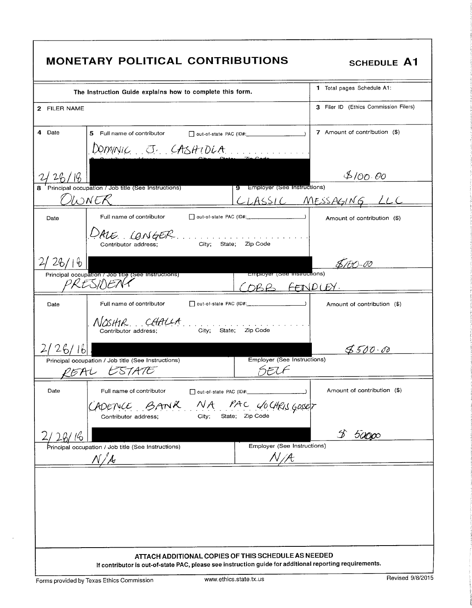| <b>MONETARY POLITICAL CONTRIBUTIONS</b>                                                                                                                        | <b>SCHEDULE A1</b>                    |
|----------------------------------------------------------------------------------------------------------------------------------------------------------------|---------------------------------------|
| The Instruction Guide explains how to complete this form.                                                                                                      | 1 Total pages Schedule A1:            |
| 2 FILER NAME                                                                                                                                                   | 3 Filer ID (Ethics Commission Filers) |
| 4 Date<br>5 Full name of contributor<br>DOMINIC J. CASHIDLA                                                                                                    | 7 Amount of contribution (\$)         |
| 2126/18<br>$\frac{7-60110}{20}$ = Principal occupation / Job title (See Instructions)                                                                          | 8/00.00                               |
| 9 Employer (See Instructions)<br>OWNER                                                                                                                         | CLASSIC MESSAGING LLC                 |
| Full name of contributor<br>Date                                                                                                                               | Amount of contribution (\$)           |
| DALE CONGER<br>City; State; Zip Code<br>Contributor address;                                                                                                   |                                       |
| 26/16                                                                                                                                                          | <u>\$/50-00</u>                       |
| Employer (See instructions)<br>Principal occupation / Job title (See Instructions)<br>VRESIDEN 1<br>DBB FENDLEY.                                               |                                       |
| Full name of contributor<br>Date                                                                                                                               | Amount of contribution (\$)           |
| NOSHIR CHALLA<br>Zip Code<br>City;<br>State;<br>Contributor address;                                                                                           |                                       |
| 2/26/16                                                                                                                                                        | 8500.08                               |
| <b>Employer (See Instructions)</b><br>Principal occupation / Job title (See Instructions)<br>SEUF<br>REAL ESTATE                                               |                                       |
| Date<br>Full name of contributor<br>out-of-state PAC (ID#:                                                                                                     | Amount of contribution (\$)           |
| BANK NA PAC COCHRIS GOSET<br>ADENCE<br>City; State; Zip Code<br>Contributor address;                                                                           |                                       |
|                                                                                                                                                                | 50000                                 |
| Employer (See Instructions)<br>Principal occupation / Job title (See Instructions)                                                                             |                                       |
|                                                                                                                                                                |                                       |
|                                                                                                                                                                |                                       |
|                                                                                                                                                                |                                       |
|                                                                                                                                                                |                                       |
| ATTACH ADDITIONAL COPIES OF THIS SCHEDULE AS NEEDED<br>If contributor is out-of-state PAC, please see instruction guide for additional reporting requirements. |                                       |
| www.ethics.state.tx.us<br>Forms provided by Texas Ethics Commission                                                                                            | Revised 9/8/2015                      |

 $\bar{z}$ 

٦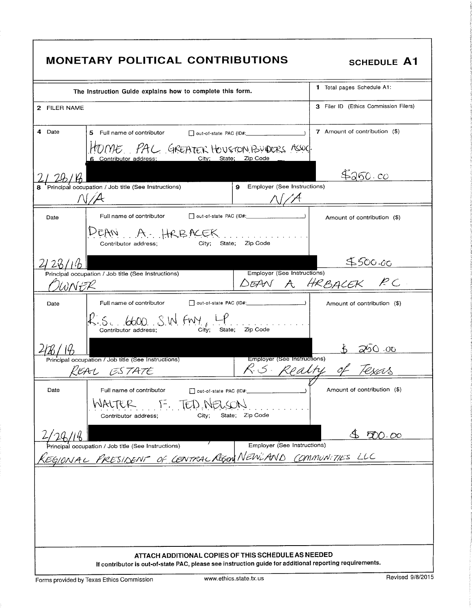| <b>MONETARY POLITICAL CONTRIBUTIONS</b>                                                                                                                        | SCHEDULE A1                                      |
|----------------------------------------------------------------------------------------------------------------------------------------------------------------|--------------------------------------------------|
| The Instruction Guide explains how to complete this form.                                                                                                      | 1 Total pages Schedule A1:                       |
| 2 FILER NAME                                                                                                                                                   | 3 Filer ID (Ethics Commission Filers)            |
| 4 Date<br>5 Full name of contributor                                                                                                                           | 7 Amount of contribution (\$)                    |
| HOME. PAC GREATER HOUSTON BUDERS ASSOC<br>City; State; Zip Code<br>6 Contributor address;                                                                      |                                                  |
|                                                                                                                                                                | 4250.00                                          |
| Principal occupation / Job title (See Instructions)<br>9 Employer (See Instructions)<br>$\bigcap$ / $\bigtriangleup$                                           |                                                  |
| Full name of contributor<br>Date                                                                                                                               | Amount of contribution (\$)                      |
| DEAN A. HRBACEK<br>State; Zip Code<br>Contributor address:<br>City;                                                                                            |                                                  |
|                                                                                                                                                                | <u>\$500.00</u>                                  |
| Principal occupation / Job title (See Instructions)<br>WNFR                                                                                                    | Employer (See Instructions)<br>DEAN A HRBACEK PC |
| Full name of contributor<br>Date                                                                                                                               | Amount of contribution (\$)                      |
| $R$ s. 6600 S.W. FM, LP.<br>City:<br>State:<br>Zip Code<br>Contributor address:                                                                                |                                                  |
|                                                                                                                                                                |                                                  |
| Principal occupation / Job title (See Instructions)<br><b>Employer (See Instructions)</b><br>R.S. Realty<br>REAL ESTATE                                        | of Texas                                         |
|                                                                                                                                                                |                                                  |
| Date<br>Full name of contributor<br>out-of-state PAC (ID#:<br>WALTER F. TED NELSON<br>State; Zip Code<br>City;<br>Contributor address;                         | Amount of contribution (\$)                      |
|                                                                                                                                                                | 850.00                                           |
| Employer (See Instructions)<br>Principal occupation / Job title (See Instructions)                                                                             |                                                  |
| EGIONAL PRESIDENT OF CENTRAL REGION NEWLAND COMMUNITIES LLC                                                                                                    |                                                  |
|                                                                                                                                                                |                                                  |
|                                                                                                                                                                |                                                  |
|                                                                                                                                                                |                                                  |
|                                                                                                                                                                |                                                  |
| ATTACH ADDITIONAL COPIES OF THIS SCHEDULE AS NEEDED<br>If contributor is out-of-state PAC, please see instruction guide for additional reporting requirements. |                                                  |
| www.ethics.state.tx.us<br>Forms provided by Texas Ethics Commission                                                                                            | Revised 9/8/2015                                 |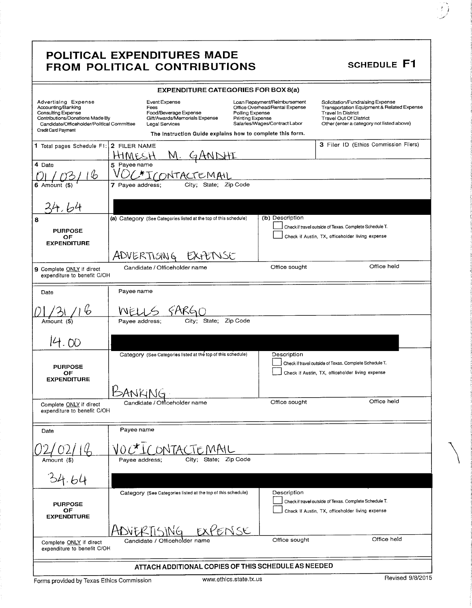|                                                                                                                                                                         | POLITICAL EXPENDITURES MADE<br><b>FROM POLITICAL CONTRIBUTIONS</b>                                                                                             |                                                                                                                                        | <b>SCHEDULE F1</b>                                                                                                                                                                        |
|-------------------------------------------------------------------------------------------------------------------------------------------------------------------------|----------------------------------------------------------------------------------------------------------------------------------------------------------------|----------------------------------------------------------------------------------------------------------------------------------------|-------------------------------------------------------------------------------------------------------------------------------------------------------------------------------------------|
|                                                                                                                                                                         | <b>EXPENDITURE CATEGORIES FOR BOX 8(a)</b>                                                                                                                     |                                                                                                                                        |                                                                                                                                                                                           |
| Advertising Expense<br>Accounting/Banking<br>Consulting Expense<br>Contributions/Donations Made By<br>Candidate/Officeholder/Political Committee<br>Credit Card Payment | Event Expense<br>Fees<br>Food/Beverage Expense<br>Gift/Awards/Memorials Expense<br>Legal Services<br>The Instruction Guide explains how to complete this form. | Loan Repayment/Reimbursement<br>Office Overhead/Rental Expense<br>Polling Expense<br>Printing Expense<br>Salaries/Wages/Contract Labor | Solicitation/Fundraising Expense<br>Transportation Equipment & Related Expense<br><b>Travel In District</b><br><b>Travel Out Of District</b><br>Other (enter a category not listed above) |
| 1 Total pages Schedule F1:                                                                                                                                              | 2 FILER NAME<br>M. GANI<br>HHM                                                                                                                                 |                                                                                                                                        | 3 Filer ID (Ethics Commission Filers)                                                                                                                                                     |
| 4 Date<br>Ь<br>$6$ Amount $($ \$)                                                                                                                                       | 5 Payee name<br>ONTACTEMAI<br>State; Zip Code<br>7 Payee address;<br>City;                                                                                     |                                                                                                                                        |                                                                                                                                                                                           |
|                                                                                                                                                                         |                                                                                                                                                                |                                                                                                                                        |                                                                                                                                                                                           |
| 8                                                                                                                                                                       | (a) Category (See Categories listed at the top of this schedule)                                                                                               | (b) Description                                                                                                                        | Check if travel outside of Texas. Complete Schedule T.                                                                                                                                    |
| <b>PURPOSE</b><br>ОF<br><b>EXPENDITURE</b>                                                                                                                              |                                                                                                                                                                |                                                                                                                                        | Check if Austin, TX, officeholder living expense                                                                                                                                          |
|                                                                                                                                                                         | ADVERTISING<br>EXPENSE                                                                                                                                         |                                                                                                                                        |                                                                                                                                                                                           |
| 9 Complete ONLY if direct<br>expenditure to benefit C/OH                                                                                                                | Candidate / Officeholder name                                                                                                                                  | Office sought                                                                                                                          | Office held                                                                                                                                                                               |
| Date                                                                                                                                                                    | Payee name                                                                                                                                                     |                                                                                                                                        |                                                                                                                                                                                           |
| Amount (\$)                                                                                                                                                             | City; State; Zip Code<br>Payee address;                                                                                                                        |                                                                                                                                        |                                                                                                                                                                                           |
| 14.00                                                                                                                                                                   |                                                                                                                                                                |                                                                                                                                        |                                                                                                                                                                                           |
| <b>PURPOSE</b><br>OF<br><b>EXPENDITURE</b>                                                                                                                              | Category (See Categories listed at the top of this schedule)                                                                                                   | Description                                                                                                                            | Check if travel outside of Texas. Complete Schedule T.<br>Check if Austin, TX, officeholder living expense                                                                                |
|                                                                                                                                                                         |                                                                                                                                                                |                                                                                                                                        |                                                                                                                                                                                           |
| Complete ONLY if direct<br>expenditure to benefit C/OH                                                                                                                  | Candidate / Officeholder name                                                                                                                                  | Office sought                                                                                                                          | Office held                                                                                                                                                                               |
| Date                                                                                                                                                                    | Payee name                                                                                                                                                     |                                                                                                                                        |                                                                                                                                                                                           |
|                                                                                                                                                                         |                                                                                                                                                                |                                                                                                                                        |                                                                                                                                                                                           |
| Amount (\$)                                                                                                                                                             | City; State;<br>Pavee address;                                                                                                                                 | Zip Code                                                                                                                               |                                                                                                                                                                                           |
|                                                                                                                                                                         |                                                                                                                                                                |                                                                                                                                        |                                                                                                                                                                                           |
| <b>PURPOSE</b><br>OF<br><b>EXPENDITURE</b>                                                                                                                              | Category (See Categories listed at the top of this schedule)                                                                                                   | Description                                                                                                                            | Check if travel outside of Texas. Complete Schedule T.<br>Check if Austin, TX, officeholder living expense                                                                                |
|                                                                                                                                                                         | ENSE                                                                                                                                                           |                                                                                                                                        |                                                                                                                                                                                           |
| Complete ONLY if direct<br>expenditure to benefit C/OH                                                                                                                  | Candidate / Officeholder name                                                                                                                                  | Office sought                                                                                                                          | Office held                                                                                                                                                                               |
|                                                                                                                                                                         | ATTACH ADDITIONAL COPIES OF THIS SCHEDULE AS NEEDED                                                                                                            |                                                                                                                                        |                                                                                                                                                                                           |

7 i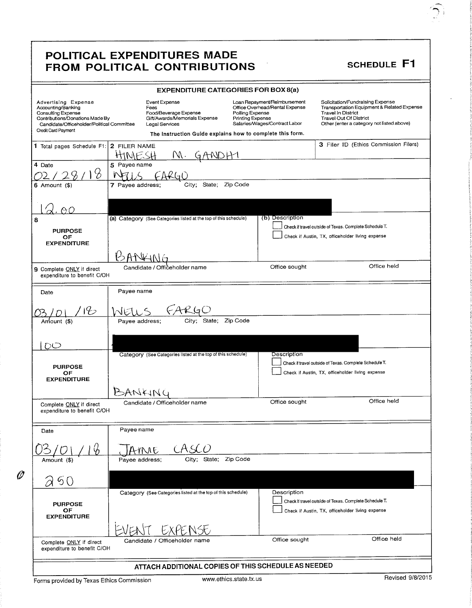|                                                                                                                                                                                | POLITICAL EXPENDITURES MADE<br>FROM POLITICAL CONTRIBUTIONS                                                                                                           |                                                                                                                                               | <b>SCHEDULE F1</b>                                                                                                                                                                        |
|--------------------------------------------------------------------------------------------------------------------------------------------------------------------------------|-----------------------------------------------------------------------------------------------------------------------------------------------------------------------|-----------------------------------------------------------------------------------------------------------------------------------------------|-------------------------------------------------------------------------------------------------------------------------------------------------------------------------------------------|
|                                                                                                                                                                                | <b>EXPENDITURE CATEGORIES FOR BOX 8(a)</b>                                                                                                                            |                                                                                                                                               |                                                                                                                                                                                           |
| Advertising Expense<br>Accounting/Banking<br>Consulting Expense<br>Contributions/Donations Made By<br>Candidate/Officeholder/Political Committee<br><b>Credit Card Payment</b> | <b>Event Expense</b><br>Fees<br>Food/Beverage Expense<br>Gift/Awards/Memorials Expense<br>Legal Services<br>The Instruction Guide explains how to complete this form. | Loan Repayment/Reimbursement<br>Office Overhead/Rental Expense<br>Polling Expense<br><b>Printing Expense</b><br>Salaries/Wages/Contract Labor | Solicitation/Fundraising Expense<br>Transportation Equipment & Related Expense<br><b>Travel In District</b><br><b>Travel Out Of District</b><br>Other (enter a category not listed above) |
| 1 Total pages Schedule F1: 2 FILER NAME                                                                                                                                        | HINESH<br>IW.<br>GANDA                                                                                                                                                |                                                                                                                                               | 3 Filer ID (Ethics Commission Filers)                                                                                                                                                     |
| 4 Date<br>$6$ Amount $($)$                                                                                                                                                     | 5 Payee name<br>City; State; Zip Code<br>7 Payee address;                                                                                                             |                                                                                                                                               |                                                                                                                                                                                           |
| 8<br><b>PURPOSE</b>                                                                                                                                                            | (a) Category (See Categories listed at the top of this schedule)                                                                                                      | (b) Description                                                                                                                               | Check if travel outside of Texas. Complete Schedule T.                                                                                                                                    |
| <b>OF</b><br><b>EXPENDITURE</b>                                                                                                                                                |                                                                                                                                                                       | Office sought                                                                                                                                 | Check if Austin, TX, officeholder living expense<br>Office held                                                                                                                           |
| 9 Complete ONLY if direct<br>expenditure to benefit C/OH                                                                                                                       | Candidate / Offičeholder name                                                                                                                                         |                                                                                                                                               |                                                                                                                                                                                           |
| Date                                                                                                                                                                           | Payee name                                                                                                                                                            |                                                                                                                                               |                                                                                                                                                                                           |
| Amount (\$)                                                                                                                                                                    | City; State; Zip Code<br>Payee address;                                                                                                                               |                                                                                                                                               |                                                                                                                                                                                           |
| DO<br><b>PURPOSE</b><br>ОF<br><b>EXPENDITURE</b>                                                                                                                               | Category (See Categories listed at the top of this schedule)                                                                                                          | Description                                                                                                                                   | Check if travel outside of Texas. Complete Schedule T.<br>Check if Austin, TX, officeholder living expense                                                                                |
| Complete ONLY if direct<br>expenditure to benefit C/OH                                                                                                                         | BANKING<br>Candidate / Officeholder name                                                                                                                              | Office sought                                                                                                                                 | Office held                                                                                                                                                                               |
| Date                                                                                                                                                                           | Payee name                                                                                                                                                            |                                                                                                                                               |                                                                                                                                                                                           |
| Amount (\$)                                                                                                                                                                    | YNNE<br>State; Zip Code<br>City;<br>Payee address;                                                                                                                    |                                                                                                                                               |                                                                                                                                                                                           |
| 250                                                                                                                                                                            | Category (See Categories listed at the top of this schedule)                                                                                                          | Description                                                                                                                                   |                                                                                                                                                                                           |
| <b>PURPOSE</b><br><b>OF</b><br><b>EXPENDITURE</b>                                                                                                                              |                                                                                                                                                                       |                                                                                                                                               | Check if travel outside of Texas. Complete Schedule T.<br>Check if Austin, TX, officeholder living expense                                                                                |
| Complete ONLY if direct<br>expenditure to benefit C/OH                                                                                                                         | Candidate / Officeholder name                                                                                                                                         | Office sought                                                                                                                                 | Office held                                                                                                                                                                               |
|                                                                                                                                                                                | ATTACH ADDITIONAL COPIES OF THIS SCHEDULE AS NEEDED                                                                                                                   |                                                                                                                                               |                                                                                                                                                                                           |
| Forms provided by Texas Ethics Commission                                                                                                                                      | www.ethics.state.tx.us                                                                                                                                                |                                                                                                                                               | Revised 9/8/2015                                                                                                                                                                          |

 $\mathscr{O}$ 

D

 $\cdot$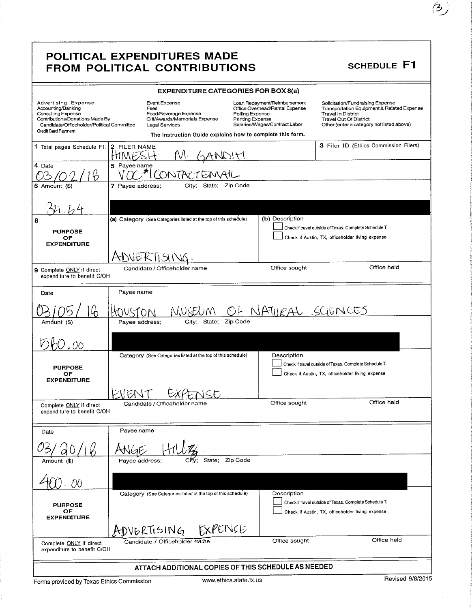### POLITICAL EXPENDITURES MADE FROM POLITICAL CONTRIBUTIONS SCHEDULE F1

|                                                                                                                                                                         | <b>EXPENDITURE CATEGORIES FOR BOX 8(a)</b>                                                                                                                                        |                                                                                                                            |                                                                                                                                                                                           |
|-------------------------------------------------------------------------------------------------------------------------------------------------------------------------|-----------------------------------------------------------------------------------------------------------------------------------------------------------------------------------|----------------------------------------------------------------------------------------------------------------------------|-------------------------------------------------------------------------------------------------------------------------------------------------------------------------------------------|
| Advertising Expense<br>Accounting/Banking<br>Consulting Expense<br>Contributions/Donations Made By<br>Candidate/Officeholder/Political Committee<br>Credit Card Payment | Event Expense<br>Fees<br>Food/Beverage Expense<br>Polling Expense<br>Gift/Awards/Memorials Expense<br>Legal Services<br>The Instruction Guide explains how to complete this form. | Loan Repayment/Reimbursement<br>Office Overhead/Rental Expense<br><b>Printing Expense</b><br>Salaries/Wages/Contract Labor | Solicitation/Fundraising Expense<br>Transportation Equipment & Related Expense<br><b>Travel In District</b><br><b>Travel Out Of District</b><br>Other (enter a category not listed above) |
| 1 Total pages Schedule F1:                                                                                                                                              | 2 FILER NAME                                                                                                                                                                      |                                                                                                                            | 3 Filer ID (Ethics Commission Filers)                                                                                                                                                     |
|                                                                                                                                                                         |                                                                                                                                                                                   |                                                                                                                            |                                                                                                                                                                                           |
| 4 Date                                                                                                                                                                  | 5 Payee name<br>CONTACT                                                                                                                                                           |                                                                                                                            |                                                                                                                                                                                           |
| 6 Amount (\$)                                                                                                                                                           | 7 Payee address;<br>State; Zip Code<br>City;                                                                                                                                      |                                                                                                                            |                                                                                                                                                                                           |
|                                                                                                                                                                         |                                                                                                                                                                                   |                                                                                                                            |                                                                                                                                                                                           |
| 8                                                                                                                                                                       | (a) Category (See Categories listed at the top of this schedule)                                                                                                                  | (b) Description                                                                                                            |                                                                                                                                                                                           |
| <b>PURPOSE</b>                                                                                                                                                          |                                                                                                                                                                                   |                                                                                                                            | Check if travel outside of Texas. Complete Schedule T.                                                                                                                                    |
| OF<br><b>EXPENDITURE</b>                                                                                                                                                |                                                                                                                                                                                   |                                                                                                                            | Check if Austin, TX, officeholder living expense                                                                                                                                          |
|                                                                                                                                                                         | NEKTISI                                                                                                                                                                           |                                                                                                                            |                                                                                                                                                                                           |
| 9 Complete ONLY if direct<br>expenditure to benefit C/OH                                                                                                                | Candidate / Officeholder name                                                                                                                                                     | Office sought                                                                                                              | Office held                                                                                                                                                                               |
| Date                                                                                                                                                                    | Payee name                                                                                                                                                                        |                                                                                                                            |                                                                                                                                                                                           |
| Amdunt (\$)                                                                                                                                                             | State:<br>Zip Code<br>Payee address;<br>City;                                                                                                                                     | NATURAL SCIENCES                                                                                                           |                                                                                                                                                                                           |
| - 00                                                                                                                                                                    |                                                                                                                                                                                   |                                                                                                                            |                                                                                                                                                                                           |
| <b>PURPOSE</b><br>OF<br><b>EXPENDITURE</b>                                                                                                                              | Category (See Categories listed at the top of this schedule)                                                                                                                      | Description                                                                                                                | Check if travel outside of Texas. Complete Schedule T.<br>Check if Austin, TX, officeholder living expense                                                                                |
|                                                                                                                                                                         |                                                                                                                                                                                   |                                                                                                                            |                                                                                                                                                                                           |
| Complete ONLY if direct<br>expenditure to benefit C/OH                                                                                                                  | Candidate / Officeholder name                                                                                                                                                     | Office sought                                                                                                              | Office held                                                                                                                                                                               |
|                                                                                                                                                                         | Payee name                                                                                                                                                                        |                                                                                                                            |                                                                                                                                                                                           |
| Date                                                                                                                                                                    |                                                                                                                                                                                   |                                                                                                                            |                                                                                                                                                                                           |
|                                                                                                                                                                         | Zip Code<br>State:                                                                                                                                                                |                                                                                                                            |                                                                                                                                                                                           |
| Amount (\$)                                                                                                                                                             | Pavee address;<br>Citv:                                                                                                                                                           |                                                                                                                            |                                                                                                                                                                                           |
|                                                                                                                                                                         |                                                                                                                                                                                   |                                                                                                                            |                                                                                                                                                                                           |
| <b>PURPOSE</b><br>OF                                                                                                                                                    | Category (See Categories listed at the top of this schedule)                                                                                                                      | Description                                                                                                                | Check if travel outside of Texas. Complete Schedule T.<br>Check if Austin, TX, officeholder living expense                                                                                |
| <b>EXPENDITURE</b>                                                                                                                                                      | EXPENSE<br>ADVERTISING                                                                                                                                                            |                                                                                                                            |                                                                                                                                                                                           |
| Complete ONLY if direct<br>expenditure to benefit C/OH                                                                                                                  | Candidate / Officeholder name                                                                                                                                                     | Office sought                                                                                                              | Office held                                                                                                                                                                               |
|                                                                                                                                                                         | ATTACH ADDITIONAL COPIES OF THIS SCHEDULE AS NEEDED                                                                                                                               |                                                                                                                            |                                                                                                                                                                                           |

i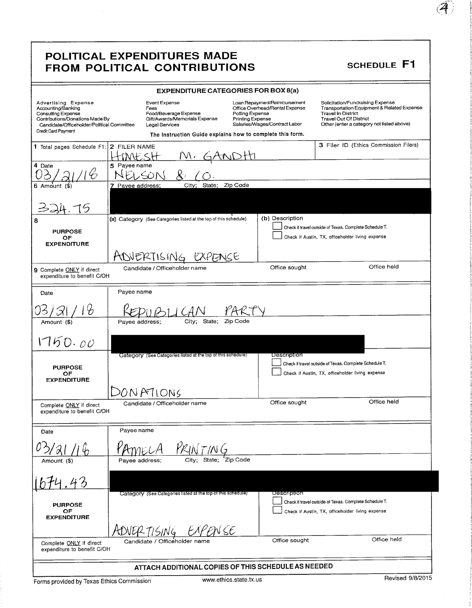### POLITICAL EXPENDITURES MADE FROM POLITICAL CONTRIBUTIONS SCHEDULE F1

|                                                                                                                                                                         |                  | <b>EXPENDITURE CATEGORIES FOR BOX 8(a)</b>                                                                                                                     |                                     |                                                                                                 |                                                                                                                                                                                           |
|-------------------------------------------------------------------------------------------------------------------------------------------------------------------------|------------------|----------------------------------------------------------------------------------------------------------------------------------------------------------------|-------------------------------------|-------------------------------------------------------------------------------------------------|-------------------------------------------------------------------------------------------------------------------------------------------------------------------------------------------|
| Advertising Expense<br>Accounting/Banking<br>Consulting Expense<br>Contributions/Donations Made By<br>Candidate/Officeholder/Political Committee<br>Credit Card Payment |                  | Event Expense<br>Fees<br>Food/Beverage Expense<br>Gift/Awards/Memorials Expense<br>Legal Services<br>The Instruction Guide explains how to complete this form. | Polling Expense<br>Printing Expense | Loan Repayment/Reimbursement<br>Office Overhead/Rental Expense<br>Salaries/Wages/Contract Labor | Solicitation/Fundraising Expense<br>Transportation Equipment & Related Expense<br><b>Travel In District</b><br><b>Travel Out Of District</b><br>Other (enter a category not listed above) |
|                                                                                                                                                                         |                  |                                                                                                                                                                |                                     |                                                                                                 | 3 Filer ID (Ethics Commission Filers)                                                                                                                                                     |
| 1 Total pages Schedule F1: 2 FILER NAME                                                                                                                                 |                  |                                                                                                                                                                |                                     |                                                                                                 |                                                                                                                                                                                           |
| 4 Date                                                                                                                                                                  | 5 Payee name     |                                                                                                                                                                |                                     |                                                                                                 |                                                                                                                                                                                           |
|                                                                                                                                                                         |                  |                                                                                                                                                                |                                     |                                                                                                 |                                                                                                                                                                                           |
| $6$ Amount $(4)$                                                                                                                                                        | 7 Payee address; | State;<br>City:                                                                                                                                                | Zip Code                            |                                                                                                 |                                                                                                                                                                                           |
|                                                                                                                                                                         |                  |                                                                                                                                                                |                                     |                                                                                                 |                                                                                                                                                                                           |
| 8                                                                                                                                                                       |                  | (a) Category (See Categories listed at the top of this schedule)                                                                                               |                                     | (b) Description                                                                                 |                                                                                                                                                                                           |
| <b>PURPOSE</b>                                                                                                                                                          |                  |                                                                                                                                                                |                                     |                                                                                                 | Check if travel outside of Texas. Complete Schedule T.<br>Check if Austin, TX, officeholder living expense                                                                                |
| ОF<br><b>EXPENDITURE</b>                                                                                                                                                |                  |                                                                                                                                                                |                                     |                                                                                                 |                                                                                                                                                                                           |
|                                                                                                                                                                         |                  | ADJERTISING                                                                                                                                                    | へくに                                 |                                                                                                 |                                                                                                                                                                                           |
| 9 Complete ONLY if direct<br>expenditure to benefit C/OH                                                                                                                |                  | Candidate / Officeholder name                                                                                                                                  |                                     | Office sought                                                                                   | Office held                                                                                                                                                                               |
| Date                                                                                                                                                                    | Payee name       |                                                                                                                                                                |                                     |                                                                                                 |                                                                                                                                                                                           |
| Ъ                                                                                                                                                                       |                  |                                                                                                                                                                |                                     |                                                                                                 |                                                                                                                                                                                           |
| Amount (\$)                                                                                                                                                             | Payee address;   | State;<br>City;                                                                                                                                                | Zip Code                            |                                                                                                 |                                                                                                                                                                                           |
| 1750.00                                                                                                                                                                 |                  |                                                                                                                                                                |                                     |                                                                                                 |                                                                                                                                                                                           |
|                                                                                                                                                                         |                  | Category (See Categories listed at the top of this schedule)                                                                                                   |                                     | Description                                                                                     | Check if travel outside of Texas. Complete Schedule T.                                                                                                                                    |
| <b>PURPOSE</b><br>OF                                                                                                                                                    |                  |                                                                                                                                                                |                                     |                                                                                                 | Check if Austin, TX, officeholder living expense                                                                                                                                          |
| <b>EXPENDITURE</b>                                                                                                                                                      |                  |                                                                                                                                                                |                                     |                                                                                                 |                                                                                                                                                                                           |
|                                                                                                                                                                         |                  | DONATIONS                                                                                                                                                      |                                     |                                                                                                 |                                                                                                                                                                                           |
| Complete ONLY if direct<br>expenditure to benefit C/OH                                                                                                                  |                  | Candidate / Officeholder name                                                                                                                                  |                                     | Office sought                                                                                   | Office held                                                                                                                                                                               |
|                                                                                                                                                                         |                  |                                                                                                                                                                |                                     |                                                                                                 |                                                                                                                                                                                           |
| Date                                                                                                                                                                    | Payee name       |                                                                                                                                                                |                                     |                                                                                                 |                                                                                                                                                                                           |
|                                                                                                                                                                         |                  |                                                                                                                                                                |                                     |                                                                                                 |                                                                                                                                                                                           |
|                                                                                                                                                                         |                  | State: Zip Code                                                                                                                                                |                                     |                                                                                                 |                                                                                                                                                                                           |
| Amount (\$)                                                                                                                                                             | Payee address;   |                                                                                                                                                                |                                     |                                                                                                 |                                                                                                                                                                                           |
|                                                                                                                                                                         |                  |                                                                                                                                                                |                                     |                                                                                                 |                                                                                                                                                                                           |
|                                                                                                                                                                         |                  | Category (See Categories listed at the top of this schedule)                                                                                                   |                                     | Description                                                                                     |                                                                                                                                                                                           |
| <b>PURPOSE</b>                                                                                                                                                          |                  |                                                                                                                                                                |                                     |                                                                                                 | Check if travel outside of Texas. Complete Schedule T.                                                                                                                                    |
| OF<br><b>EXPENDITURE</b>                                                                                                                                                |                  |                                                                                                                                                                |                                     |                                                                                                 | Check if Austin, TX, officeholder living expense                                                                                                                                          |
|                                                                                                                                                                         |                  | N SE                                                                                                                                                           |                                     |                                                                                                 |                                                                                                                                                                                           |
|                                                                                                                                                                         |                  | Candidate / Officeholder name                                                                                                                                  |                                     | Office sought                                                                                   | Office held                                                                                                                                                                               |
| Complete ONLY if direct<br>expenditure to benefit C/OH                                                                                                                  |                  |                                                                                                                                                                |                                     |                                                                                                 |                                                                                                                                                                                           |
| ATTACH ADDITIONAL COPIES OF THIS SCHEDULE AS NEEDED                                                                                                                     |                  |                                                                                                                                                                |                                     |                                                                                                 |                                                                                                                                                                                           |

r.4